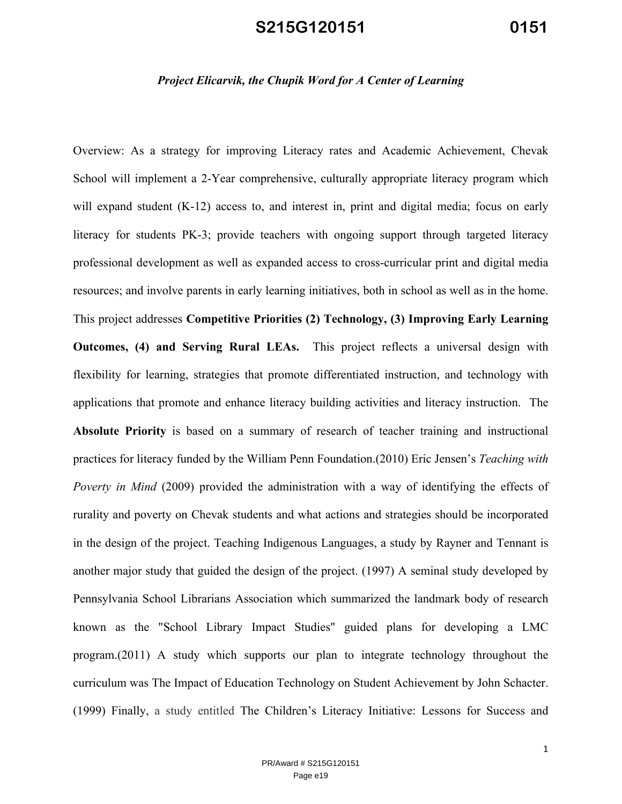#### *Project Elicarvik, the Chupik Word for A Center of Learning*

Overview: As a strategy for improving Literacy rates and Academic Achievement, Chevak School will implement a 2-Year comprehensive, culturally appropriate literacy program which will expand student (K-12) access to, and interest in, print and digital media; focus on early literacy for students PK-3; provide teachers with ongoing support through targeted literacy professional development as well as expanded access to cross-curricular print and digital media resources; and involve parents in early learning initiatives, both in school as well as in the home. This project addresses **Competitive Priorities (2) Technology, (3) Improving Early Learning Outcomes, (4) and Serving Rural LEAs.** This project reflects a universal design with flexibility for learning, strategies that promote differentiated instruction, and technology with applications that promote and enhance literacy building activities and literacy instruction. The **Absolute Priority** is based on a summary of research of teacher training and instructional practices for literacy funded by the William Penn Foundation.(2010) Eric Jensen's *Teaching with Poverty in Mind* (2009) provided the administration with a way of identifying the effects of rurality and poverty on Chevak students and what actions and strategies should be incorporated in the design of the project. Teaching Indigenous Languages, a study by Rayner and Tennant is another major study that guided the design of the project. (1997) A seminal study developed by Pennsylvania School Librarians Association which summarized the landmark body of research known as the "School Library Impact Studies" guided plans for developing a LMC program.(2011) A study which supports our plan to integrate technology throughout the curriculum was The Impact of Education Technology on Student Achievement by John Schacter. (1999) Finally, a study entitled The Children's Literacy Initiative: Lessons for Success and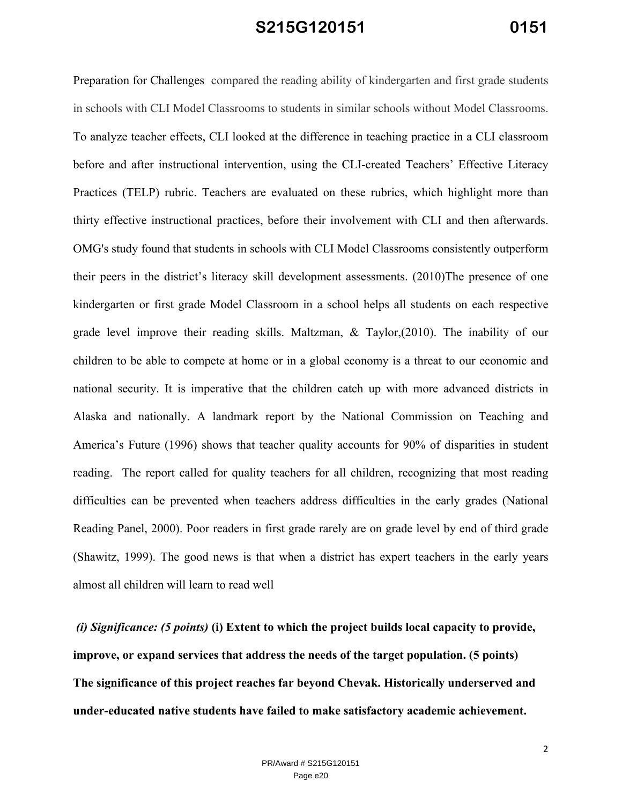Preparation for Challenges compared the reading ability of kindergarten and first grade students in schools with CLI Model Classrooms to students in similar schools without Model Classrooms. To analyze teacher effects, CLI looked at the difference in teaching practice in a CLI classroom before and after instructional intervention, using the CLI-created Teachers' Effective Literacy Practices (TELP) rubric. Teachers are evaluated on these rubrics, which highlight more than thirty effective instructional practices, before their involvement with CLI and then afterwards. OMG's study found that students in schools with CLI Model Classrooms consistently outperform their peers in the district's literacy skill development assessments. (2010)The presence of one kindergarten or first grade Model Classroom in a school helps all students on each respective grade level improve their reading skills. Maltzman, & Taylor,(2010). The inability of our children to be able to compete at home or in a global economy is a threat to our economic and national security. It is imperative that the children catch up with more advanced districts in Alaska and nationally. A landmark report by the National Commission on Teaching and America's Future (1996) shows that teacher quality accounts for 90% of disparities in student reading. The report called for quality teachers for all children, recognizing that most reading difficulties can be prevented when teachers address difficulties in the early grades (National Reading Panel, 2000). Poor readers in first grade rarely are on grade level by end of third grade (Shawitz, 1999). The good news is that when a district has expert teachers in the early years almost all children will learn to read well

 *(i) Significance: (5 points)* **(i) Extent to which the project builds local capacity to provide, improve, or expand services that address the needs of the target population. (5 points) The significance of this project reaches far beyond Chevak. Historically underserved and under-educated native students have failed to make satisfactory academic achievement.**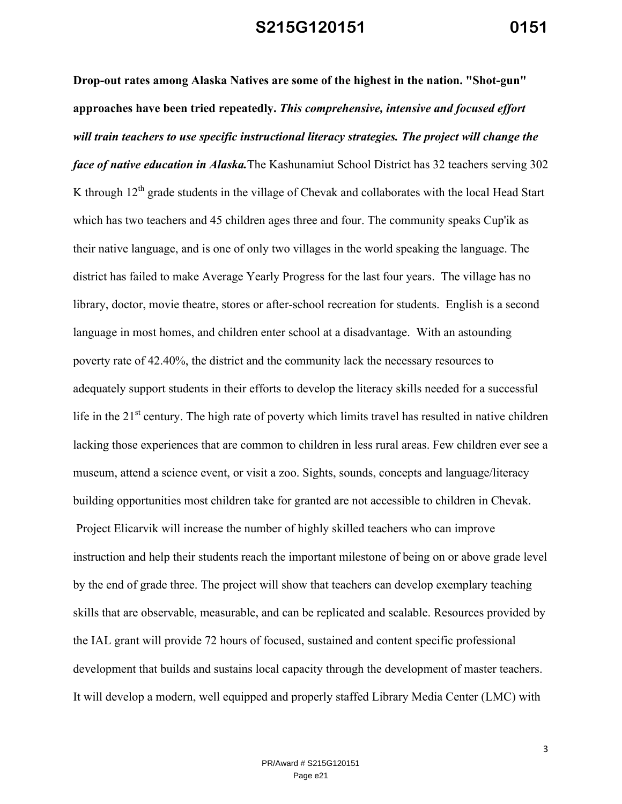**Drop-out rates among Alaska Natives are some of the highest in the nation. "Shot-gun" approaches have been tried repeatedly.** *This comprehensive, intensive and focused effort will train teachers to use specific instructional literacy strategies. The project will change the face of native education in Alaska.*The Kashunamiut School District has 32 teachers serving 302 K through  $12<sup>th</sup>$  grade students in the village of Chevak and collaborates with the local Head Start which has two teachers and 45 children ages three and four. The community speaks Cup'ik as their native language, and is one of only two villages in the world speaking the language. The district has failed to make Average Yearly Progress for the last four years. The village has no library, doctor, movie theatre, stores or after-school recreation for students. English is a second language in most homes, and children enter school at a disadvantage. With an astounding poverty rate of 42.40%, the district and the community lack the necessary resources to adequately support students in their efforts to develop the literacy skills needed for a successful life in the 21<sup>st</sup> century. The high rate of poverty which limits travel has resulted in native children lacking those experiences that are common to children in less rural areas. Few children ever see a museum, attend a science event, or visit a zoo. Sights, sounds, concepts and language/literacy building opportunities most children take for granted are not accessible to children in Chevak. Project Elicarvik will increase the number of highly skilled teachers who can improve instruction and help their students reach the important milestone of being on or above grade level by the end of grade three. The project will show that teachers can develop exemplary teaching skills that are observable, measurable, and can be replicated and scalable. Resources provided by the IAL grant will provide 72 hours of focused, sustained and content specific professional development that builds and sustains local capacity through the development of master teachers. It will develop a modern, well equipped and properly staffed Library Media Center (LMC) with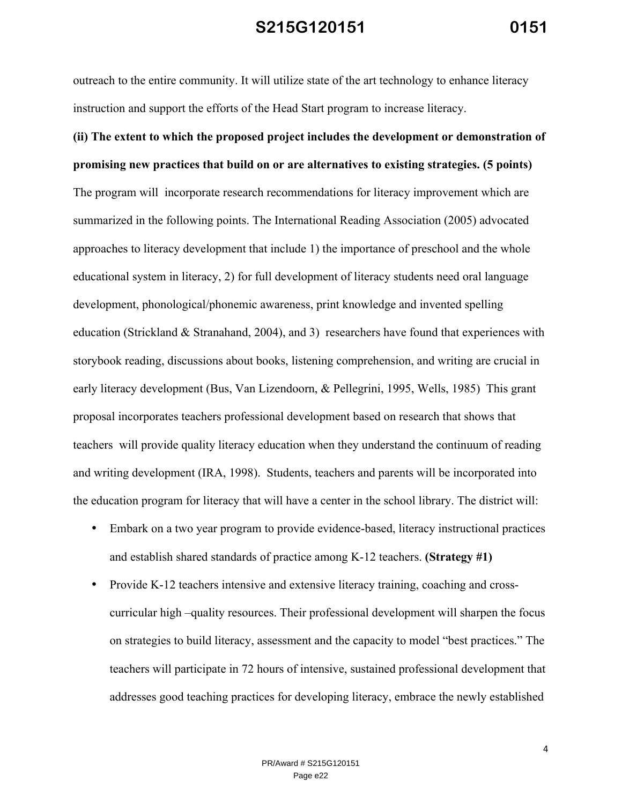outreach to the entire community. It will utilize state of the art technology to enhance literacy instruction and support the efforts of the Head Start program to increase literacy.

# **(ii) The extent to which the proposed project includes the development or demonstration of promising new practices that build on or are alternatives to existing strategies. (5 points)**

The program will incorporate research recommendations for literacy improvement which are summarized in the following points. The International Reading Association (2005) advocated approaches to literacy development that include 1) the importance of preschool and the whole educational system in literacy, 2) for full development of literacy students need oral language development, phonological/phonemic awareness, print knowledge and invented spelling education (Strickland  $&$  Stranahand, 2004), and 3) researchers have found that experiences with storybook reading, discussions about books, listening comprehension, and writing are crucial in early literacy development (Bus, Van Lizendoorn, & Pellegrini, 1995, Wells, 1985) This grant proposal incorporates teachers professional development based on research that shows that teachers will provide quality literacy education when they understand the continuum of reading and writing development (IRA, 1998). Students, teachers and parents will be incorporated into the education program for literacy that will have a center in the school library. The district will:

- Embark on a two year program to provide evidence-based, literacy instructional practices and establish shared standards of practice among K-12 teachers. **(Strategy #1)**
- Provide K-12 teachers intensive and extensive literacy training, coaching and crosscurricular high –quality resources. Their professional development will sharpen the focus on strategies to build literacy, assessment and the capacity to model "best practices." The teachers will participate in 72 hours of intensive, sustained professional development that addresses good teaching practices for developing literacy, embrace the newly established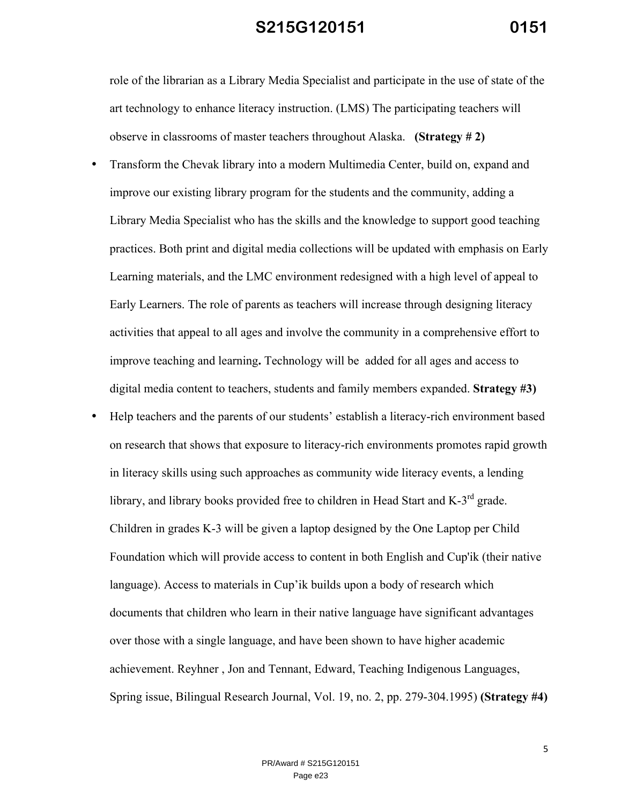role of the librarian as a Library Media Specialist and participate in the use of state of the art technology to enhance literacy instruction. (LMS) The participating teachers will observe in classrooms of master teachers throughout Alaska. **(Strategy # 2)**

- Transform the Chevak library into a modern Multimedia Center, build on, expand and improve our existing library program for the students and the community, adding a Library Media Specialist who has the skills and the knowledge to support good teaching practices. Both print and digital media collections will be updated with emphasis on Early Learning materials, and the LMC environment redesigned with a high level of appeal to Early Learners. The role of parents as teachers will increase through designing literacy activities that appeal to all ages and involve the community in a comprehensive effort to improve teaching and learning**.** Technology will be added for all ages and access to digital media content to teachers, students and family members expanded. **Strategy #3)**
- Help teachers and the parents of our students' establish a literacy-rich environment based on research that shows that exposure to literacy-rich environments promotes rapid growth in literacy skills using such approaches as community wide literacy events, a lending library, and library books provided free to children in Head Start and K-3<sup>rd</sup> grade. Children in grades K-3 will be given a laptop designed by the One Laptop per Child Foundation which will provide access to content in both English and Cup'ik (their native language). Access to materials in Cup'ik builds upon a body of research which documents that children who learn in their native language have significant advantages over those with a single language, and have been shown to have higher academic achievement. Reyhner , Jon and Tennant, Edward, Teaching Indigenous Languages, Spring issue, Bilingual Research Journal, Vol. 19, no. 2, pp. 279-304.1995) **(Strategy #4)**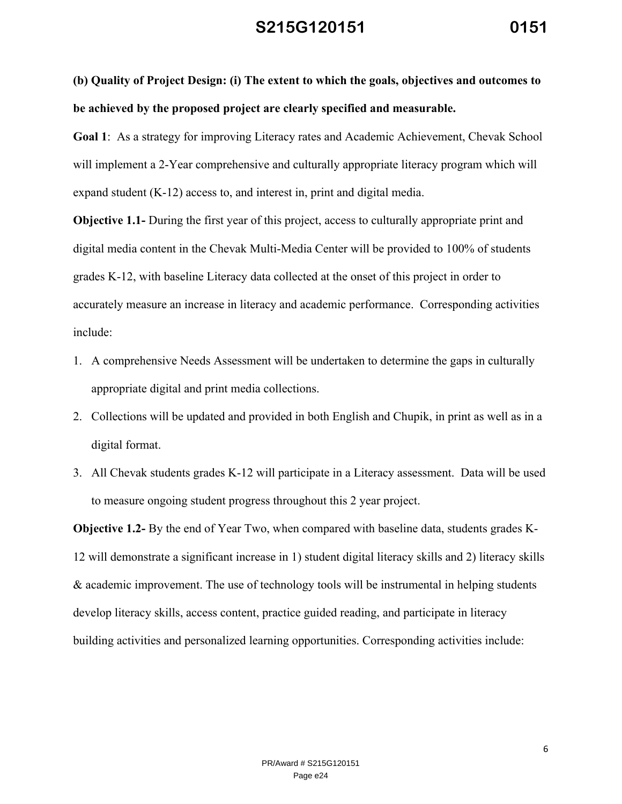**(b) Quality of Project Design: (i) The extent to which the goals, objectives and outcomes to be achieved by the proposed project are clearly specified and measurable.** 

**Goal 1**: As a strategy for improving Literacy rates and Academic Achievement, Chevak School will implement a 2-Year comprehensive and culturally appropriate literacy program which will expand student (K-12) access to, and interest in, print and digital media.

**Objective 1.1-** During the first year of this project, access to culturally appropriate print and digital media content in the Chevak Multi-Media Center will be provided to 100% of students grades K-12, with baseline Literacy data collected at the onset of this project in order to accurately measure an increase in literacy and academic performance. Corresponding activities include:

- 1. A comprehensive Needs Assessment will be undertaken to determine the gaps in culturally appropriate digital and print media collections.
- 2. Collections will be updated and provided in both English and Chupik, in print as well as in a digital format.
- 3. All Chevak students grades K-12 will participate in a Literacy assessment. Data will be used to measure ongoing student progress throughout this 2 year project.

**Objective 1.2-** By the end of Year Two, when compared with baseline data, students grades K-12 will demonstrate a significant increase in 1) student digital literacy skills and 2) literacy skills & academic improvement. The use of technology tools will be instrumental in helping students develop literacy skills, access content, practice guided reading, and participate in literacy building activities and personalized learning opportunities. Corresponding activities include: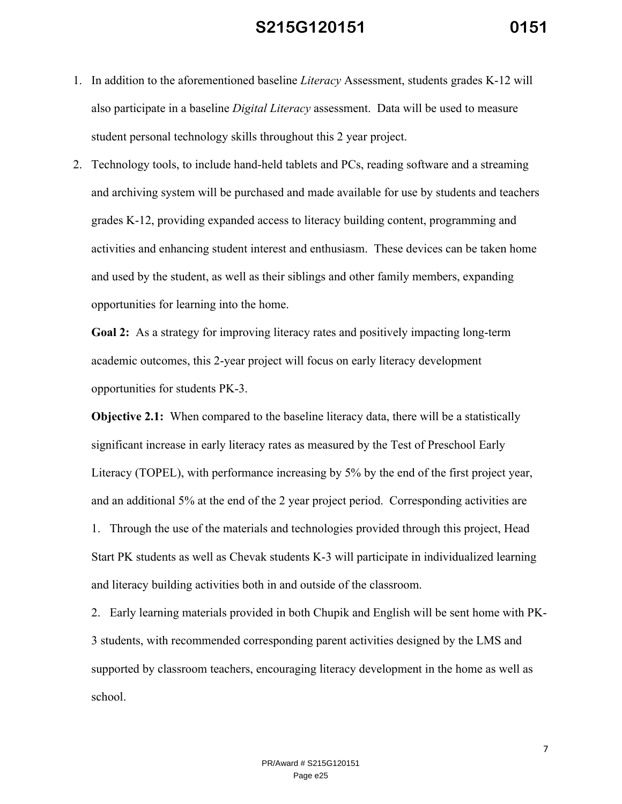- 1. In addition to the aforementioned baseline *Literacy* Assessment, students grades K-12 will also participate in a baseline *Digital Literacy* assessment. Data will be used to measure student personal technology skills throughout this 2 year project.
- 2. Technology tools, to include hand-held tablets and PCs, reading software and a streaming and archiving system will be purchased and made available for use by students and teachers grades K-12, providing expanded access to literacy building content, programming and activities and enhancing student interest and enthusiasm. These devices can be taken home and used by the student, as well as their siblings and other family members, expanding opportunities for learning into the home.

**Goal 2:** As a strategy for improving literacy rates and positively impacting long-term academic outcomes, this 2-year project will focus on early literacy development opportunities for students PK-3.

**Objective 2.1:** When compared to the baseline literacy data, there will be a statistically significant increase in early literacy rates as measured by the Test of Preschool Early Literacy (TOPEL), with performance increasing by 5% by the end of the first project year, and an additional 5% at the end of the 2 year project period. Corresponding activities are 1. Through the use of the materials and technologies provided through this project, Head Start PK students as well as Chevak students K-3 will participate in individualized learning and literacy building activities both in and outside of the classroom.

2. Early learning materials provided in both Chupik and English will be sent home with PK-3 students, with recommended corresponding parent activities designed by the LMS and supported by classroom teachers, encouraging literacy development in the home as well as school.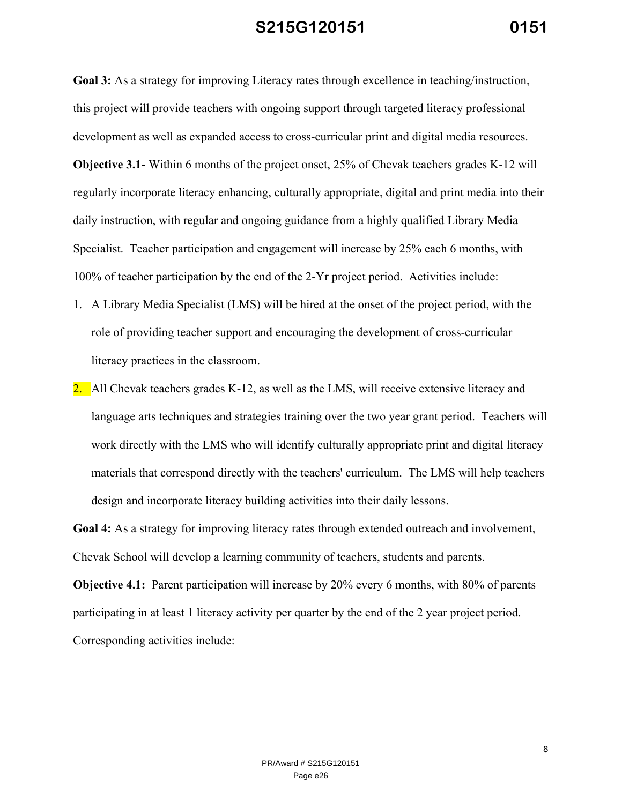**Goal 3:** As a strategy for improving Literacy rates through excellence in teaching/instruction, this project will provide teachers with ongoing support through targeted literacy professional development as well as expanded access to cross-curricular print and digital media resources. **Objective 3.1-** Within 6 months of the project onset, 25% of Chevak teachers grades K-12 will regularly incorporate literacy enhancing, culturally appropriate, digital and print media into their daily instruction, with regular and ongoing guidance from a highly qualified Library Media Specialist. Teacher participation and engagement will increase by 25% each 6 months, with 100% of teacher participation by the end of the 2-Yr project period. Activities include:

- 1. A Library Media Specialist (LMS) will be hired at the onset of the project period, with the role of providing teacher support and encouraging the development of cross-curricular literacy practices in the classroom.
- 2. All Chevak teachers grades K-12, as well as the LMS, will receive extensive literacy and language arts techniques and strategies training over the two year grant period. Teachers will work directly with the LMS who will identify culturally appropriate print and digital literacy materials that correspond directly with the teachers' curriculum. The LMS will help teachers design and incorporate literacy building activities into their daily lessons.

**Goal 4:** As a strategy for improving literacy rates through extended outreach and involvement, Chevak School will develop a learning community of teachers, students and parents.

**Objective 4.1:** Parent participation will increase by 20% every 6 months, with 80% of parents participating in at least 1 literacy activity per quarter by the end of the 2 year project period. Corresponding activities include: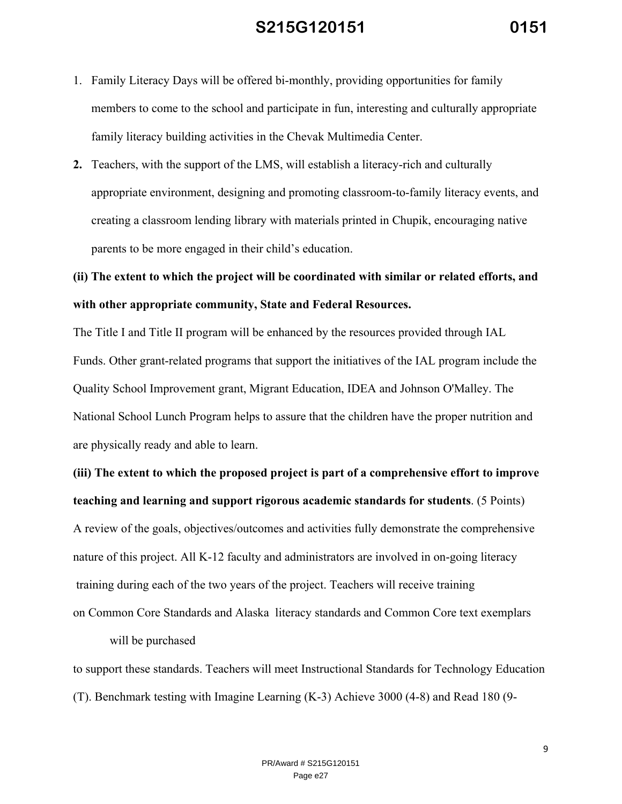- 1. Family Literacy Days will be offered bi-monthly, providing opportunities for family members to come to the school and participate in fun, interesting and culturally appropriate family literacy building activities in the Chevak Multimedia Center.
- **2.** Teachers, with the support of the LMS, will establish a literacy-rich and culturally appropriate environment, designing and promoting classroom-to-family literacy events, and creating a classroom lending library with materials printed in Chupik, encouraging native parents to be more engaged in their child's education.

# **(ii) The extent to which the project will be coordinated with similar or related efforts, and with other appropriate community, State and Federal Resources.**

The Title I and Title II program will be enhanced by the resources provided through IAL Funds. Other grant-related programs that support the initiatives of the IAL program include the Quality School Improvement grant, Migrant Education, IDEA and Johnson O'Malley. The National School Lunch Program helps to assure that the children have the proper nutrition and are physically ready and able to learn.

**(iii) The extent to which the proposed project is part of a comprehensive effort to improve teaching and learning and support rigorous academic standards for students**. (5 Points) A review of the goals, objectives/outcomes and activities fully demonstrate the comprehensive nature of this project. All K-12 faculty and administrators are involved in on-going literacy training during each of the two years of the project. Teachers will receive training on Common Core Standards and Alaska literacy standards and Common Core text exemplars

#### will be purchased

to support these standards. Teachers will meet Instructional Standards for Technology Education (T). Benchmark testing with Imagine Learning (K-3) Achieve 3000 (4-8) and Read 180 (9-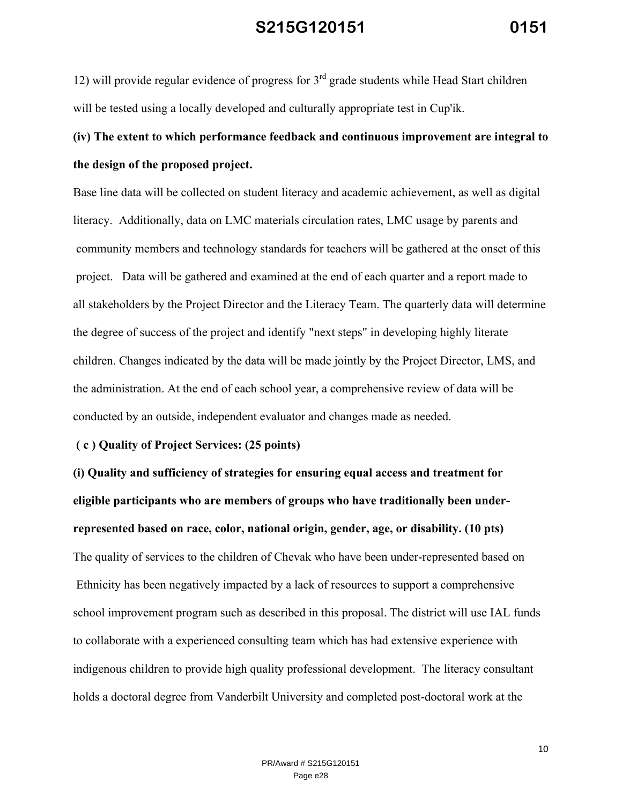12) will provide regular evidence of progress for  $3<sup>rd</sup>$  grade students while Head Start children will be tested using a locally developed and culturally appropriate test in Cup'ik.

# **(iv) The extent to which performance feedback and continuous improvement are integral to the design of the proposed project.**

Base line data will be collected on student literacy and academic achievement, as well as digital literacy. Additionally, data on LMC materials circulation rates, LMC usage by parents and community members and technology standards for teachers will be gathered at the onset of this project. Data will be gathered and examined at the end of each quarter and a report made to all stakeholders by the Project Director and the Literacy Team. The quarterly data will determine the degree of success of the project and identify "next steps" in developing highly literate children. Changes indicated by the data will be made jointly by the Project Director, LMS, and the administration. At the end of each school year, a comprehensive review of data will be conducted by an outside, independent evaluator and changes made as needed.

#### **( c ) Quality of Project Services: (25 points)**

**(i) Quality and sufficiency of strategies for ensuring equal access and treatment for eligible participants who are members of groups who have traditionally been underrepresented based on race, color, national origin, gender, age, or disability. (10 pts)** The quality of services to the children of Chevak who have been under-represented based on Ethnicity has been negatively impacted by a lack of resources to support a comprehensive school improvement program such as described in this proposal. The district will use IAL funds to collaborate with a experienced consulting team which has had extensive experience with indigenous children to provide high quality professional development. The literacy consultant holds a doctoral degree from Vanderbilt University and completed post-doctoral work at the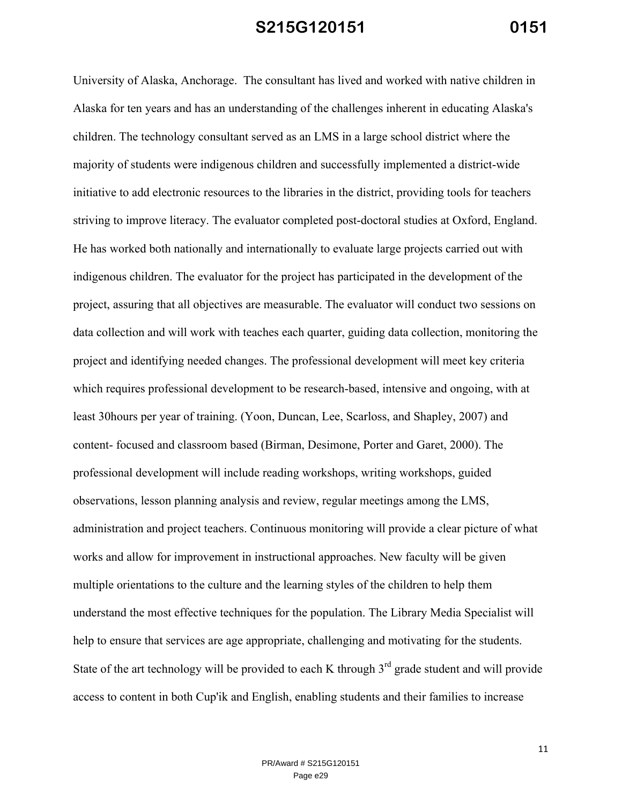University of Alaska, Anchorage. The consultant has lived and worked with native children in Alaska for ten years and has an understanding of the challenges inherent in educating Alaska's children. The technology consultant served as an LMS in a large school district where the majority of students were indigenous children and successfully implemented a district-wide initiative to add electronic resources to the libraries in the district, providing tools for teachers striving to improve literacy. The evaluator completed post-doctoral studies at Oxford, England. He has worked both nationally and internationally to evaluate large projects carried out with indigenous children. The evaluator for the project has participated in the development of the project, assuring that all objectives are measurable. The evaluator will conduct two sessions on data collection and will work with teaches each quarter, guiding data collection, monitoring the project and identifying needed changes. The professional development will meet key criteria which requires professional development to be research-based, intensive and ongoing, with at least 30hours per year of training. (Yoon, Duncan, Lee, Scarloss, and Shapley, 2007) and content- focused and classroom based (Birman, Desimone, Porter and Garet, 2000). The professional development will include reading workshops, writing workshops, guided observations, lesson planning analysis and review, regular meetings among the LMS, administration and project teachers. Continuous monitoring will provide a clear picture of what works and allow for improvement in instructional approaches. New faculty will be given multiple orientations to the culture and the learning styles of the children to help them understand the most effective techniques for the population. The Library Media Specialist will help to ensure that services are age appropriate, challenging and motivating for the students. State of the art technology will be provided to each K through  $3<sup>rd</sup>$  grade student and will provide access to content in both Cup'ik and English, enabling students and their families to increase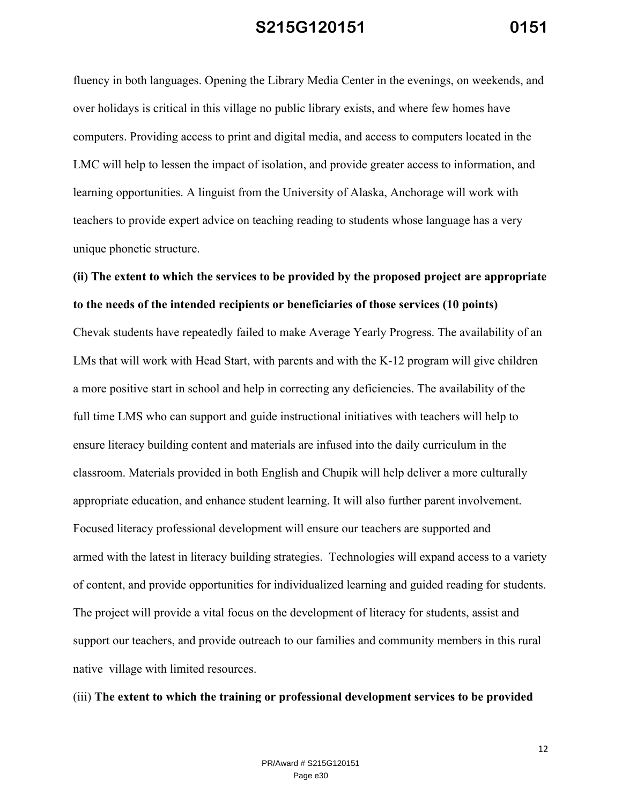fluency in both languages. Opening the Library Media Center in the evenings, on weekends, and over holidays is critical in this village no public library exists, and where few homes have computers. Providing access to print and digital media, and access to computers located in the LMC will help to lessen the impact of isolation, and provide greater access to information, and learning opportunities. A linguist from the University of Alaska, Anchorage will work with teachers to provide expert advice on teaching reading to students whose language has a very unique phonetic structure.

# **(ii) The extent to which the services to be provided by the proposed project are appropriate to the needs of the intended recipients or beneficiaries of those services (10 points)**

Chevak students have repeatedly failed to make Average Yearly Progress. The availability of an LMs that will work with Head Start, with parents and with the K-12 program will give children a more positive start in school and help in correcting any deficiencies. The availability of the full time LMS who can support and guide instructional initiatives with teachers will help to ensure literacy building content and materials are infused into the daily curriculum in the classroom. Materials provided in both English and Chupik will help deliver a more culturally appropriate education, and enhance student learning. It will also further parent involvement. Focused literacy professional development will ensure our teachers are supported and armed with the latest in literacy building strategies. Technologies will expand access to a variety of content, and provide opportunities for individualized learning and guided reading for students. The project will provide a vital focus on the development of literacy for students, assist and support our teachers, and provide outreach to our families and community members in this rural native village with limited resources.

#### (iii) **The extent to which the training or professional development services to be provided**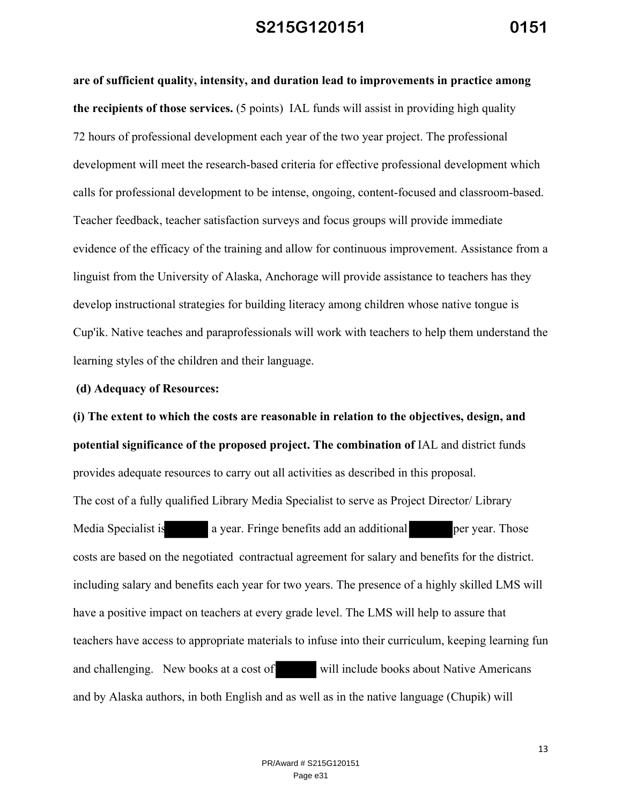**are of sufficient quality, intensity, and duration lead to improvements in practice among the recipients of those services.** (5 points) IAL funds will assist in providing high quality 72 hours of professional development each year of the two year project. The professional development will meet the research-based criteria for effective professional development which calls for professional development to be intense, ongoing, content-focused and classroom-based. Teacher feedback, teacher satisfaction surveys and focus groups will provide immediate evidence of the efficacy of the training and allow for continuous improvement. Assistance from a linguist from the University of Alaska, Anchorage will provide assistance to teachers has they develop instructional strategies for building literacy among children whose native tongue is Cup'ik. Native teaches and paraprofessionals will work with teachers to help them understand the learning styles of the children and their language.

#### **(d) Adequacy of Resources:**

**(i) The extent to which the costs are reasonable in relation to the objectives, design, and potential significance of the proposed project. The combination of** IAL and district funds provides adequate resources to carry out all activities as described in this proposal. The cost of a fully qualified Library Media Specialist to serve as Project Director/ Library Media Specialist is a year. Fringe benefits add an additional per year. Those costs are based on the negotiated contractual agreement for salary and benefits for the district. including salary and benefits each year for two years. The presence of a highly skilled LMS will have a positive impact on teachers at every grade level. The LMS will help to assure that teachers have access to appropriate materials to infuse into their curriculum, keeping learning fun and challenging. New books at a cost of will include books about Native Americans and by Alaska authors, in both English and as well as in the native language (Chupik) will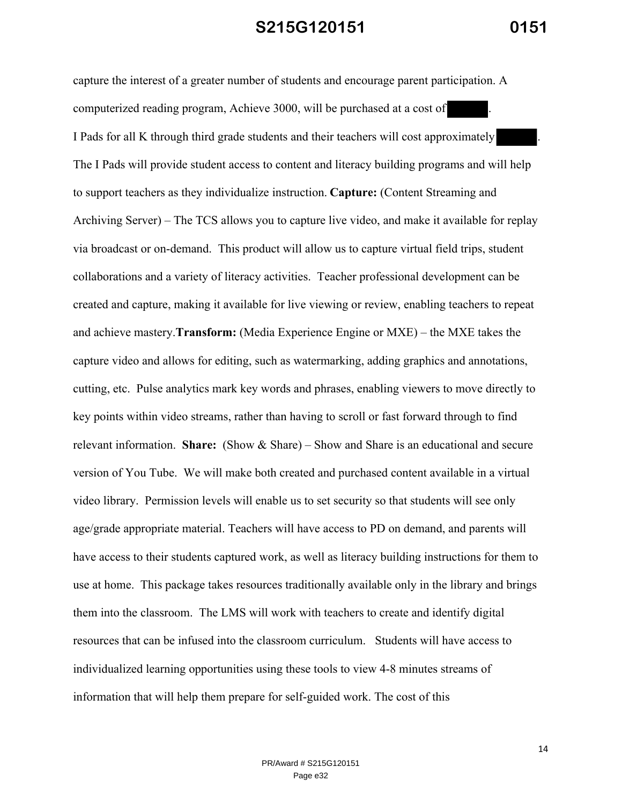capture the interest of a greater number of students and encourage parent participation. A computerized reading program, Achieve 3000, will be purchased at a cost of I Pads for all K through third grade students and their teachers will cost approximately . The I Pads will provide student access to content and literacy building programs and will help to support teachers as they individualize instruction. **Capture:** (Content Streaming and Archiving Server) – The TCS allows you to capture live video, and make it available for replay via broadcast or on-demand. This product will allow us to capture virtual field trips, student collaborations and a variety of literacy activities. Teacher professional development can be created and capture, making it available for live viewing or review, enabling teachers to repeat and achieve mastery.**Transform:** (Media Experience Engine or MXE) – the MXE takes the capture video and allows for editing, such as watermarking, adding graphics and annotations, cutting, etc. Pulse analytics mark key words and phrases, enabling viewers to move directly to key points within video streams, rather than having to scroll or fast forward through to find relevant information. **Share:** (Show & Share) – Show and Share is an educational and secure version of You Tube. We will make both created and purchased content available in a virtual video library. Permission levels will enable us to set security so that students will see only age/grade appropriate material. Teachers will have access to PD on demand, and parents will have access to their students captured work, as well as literacy building instructions for them to use at home. This package takes resources traditionally available only in the library and brings them into the classroom. The LMS will work with teachers to create and identify digital resources that can be infused into the classroom curriculum. Students will have access to individualized learning opportunities using these tools to view 4-8 minutes streams of information that will help them prepare for self-guided work. The cost of this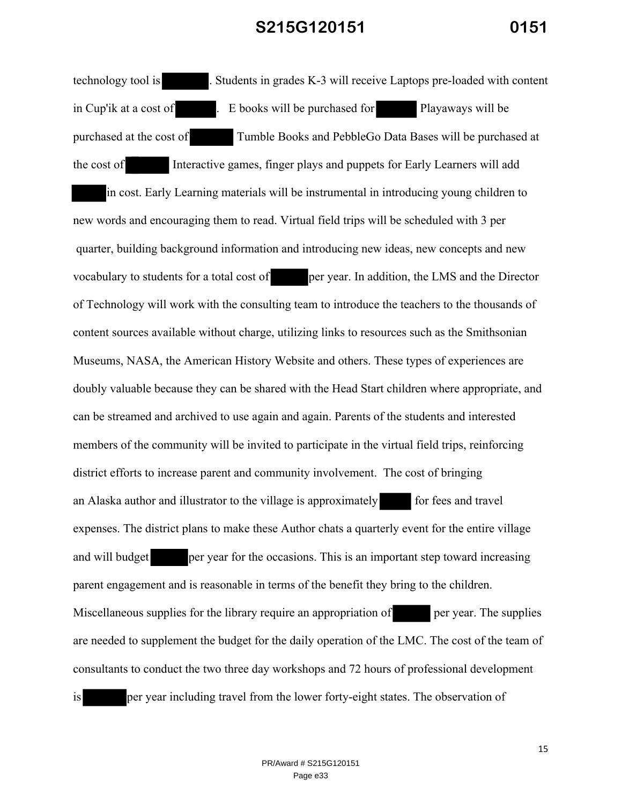technology tool is . Students in grades K-3 will receive Laptops pre-loaded with content in Cup'ik at a cost of . E books will be purchased for Playaways will be purchased at the cost of Tumble Books and PebbleGo Data Bases will be purchased at the cost of Interactive games, finger plays and puppets for Early Learners will add

in cost. Early Learning materials will be instrumental in introducing young children to new words and encouraging them to read. Virtual field trips will be scheduled with 3 per quarter, building background information and introducing new ideas, new concepts and new vocabulary to students for a total cost of per year. In addition, the LMS and the Director of Technology will work with the consulting team to introduce the teachers to the thousands of content sources available without charge, utilizing links to resources such as the Smithsonian Museums, NASA, the American History Website and others. These types of experiences are doubly valuable because they can be shared with the Head Start children where appropriate, and can be streamed and archived to use again and again. Parents of the students and interested members of the community will be invited to participate in the virtual field trips, reinforcing district efforts to increase parent and community involvement. The cost of bringing an Alaska author and illustrator to the village is approximately for fees and travel expenses. The district plans to make these Author chats a quarterly event for the entire village and will budget per year for the occasions. This is an important step toward increasing parent engagement and is reasonable in terms of the benefit they bring to the children. Miscellaneous supplies for the library require an appropriation of per year. The supplies are needed to supplement the budget for the daily operation of the LMC. The cost of the team of consultants to conduct the two three day workshops and 72 hours of professional development is per year including travel from the lower forty-eight states. The observation of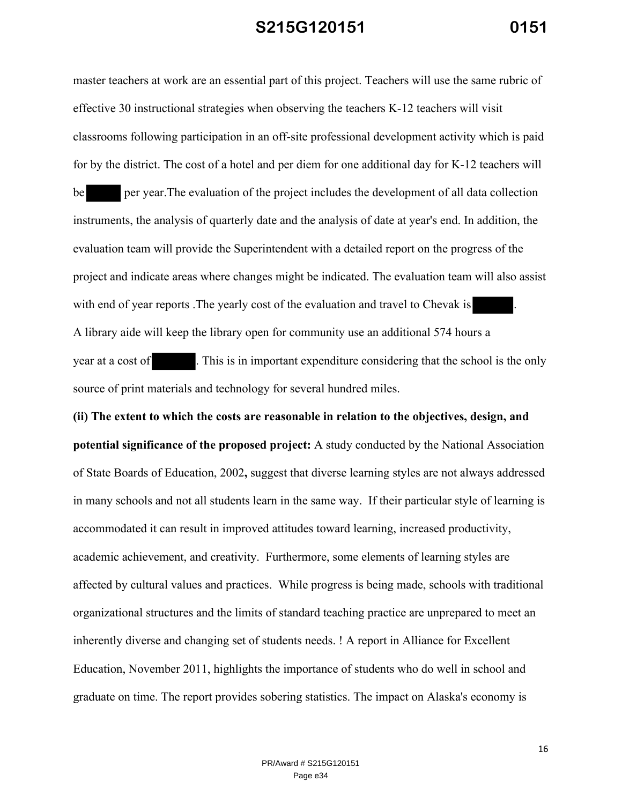master teachers at work are an essential part of this project. Teachers will use the same rubric of effective 30 instructional strategies when observing the teachers K-12 teachers will visit classrooms following participation in an off-site professional development activity which is paid for by the district. The cost of a hotel and per diem for one additional day for K-12 teachers will

be per year.The evaluation of the project includes the development of all data collection instruments, the analysis of quarterly date and the analysis of date at year's end. In addition, the evaluation team will provide the Superintendent with a detailed report on the progress of the project and indicate areas where changes might be indicated. The evaluation team will also assist with end of year reports . The yearly cost of the evaluation and travel to Chevak is A library aide will keep the library open for community use an additional 574 hours a year at a cost of . This is in important expenditure considering that the school is the only source of print materials and technology for several hundred miles.

**(ii) The extent to which the costs are reasonable in relation to the objectives, design, and potential significance of the proposed project:** A study conducted by the National Association of State Boards of Education, 2002**,** suggest that diverse learning styles are not always addressed in many schools and not all students learn in the same way. If their particular style of learning is accommodated it can result in improved attitudes toward learning, increased productivity, academic achievement, and creativity. Furthermore, some elements of learning styles are affected by cultural values and practices. While progress is being made, schools with traditional organizational structures and the limits of standard teaching practice are unprepared to meet an inherently diverse and changing set of students needs. ! A report in Alliance for Excellent Education, November 2011, highlights the importance of students who do well in school and graduate on time. The report provides sobering statistics. The impact on Alaska's economy is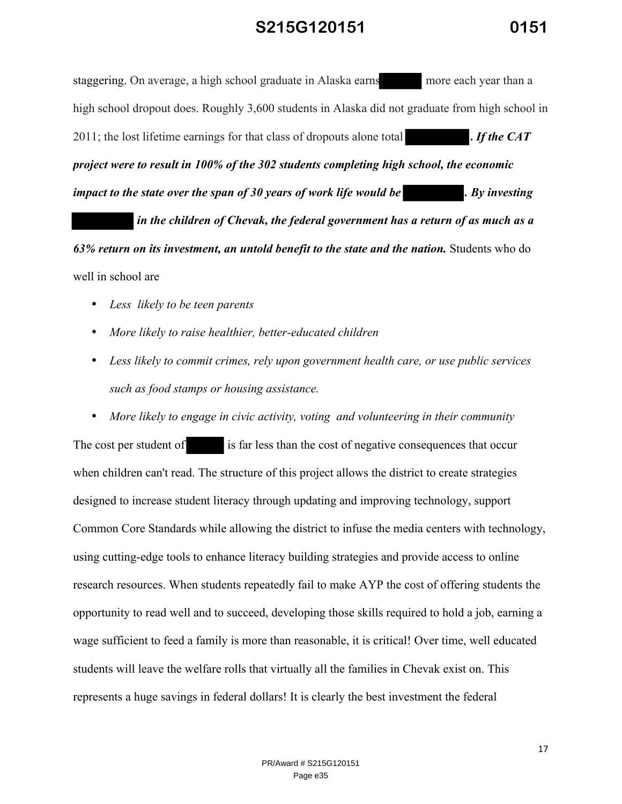staggering. On average, a high school graduate in Alaska earns more each year than a high school dropout does. Roughly 3,600 students in Alaska did not graduate from high school in 2011; the lost lifetime earnings for that class of dropouts alone total **.** *If the CAT project were to result in 100% of the 302 students completing high school, the economic impact to the state over the span of 30 years of work life would be* . By *investing* 

 *in the children of Chevak, the federal government has a return of as much as a 63% return on its investment, an untold benefit to the state and the nation.* Students who do well in school are

- *Less likely to be teen parents*
- *More likely to raise healthier, better-educated children*
- *Less likely to commit crimes, rely upon government health care, or use public services such as food stamps or housing assistance.*
- *More likely to engage in civic activity, voting and volunteering in their community*

The cost per student of is far less than the cost of negative consequences that occur when children can't read. The structure of this project allows the district to create strategies designed to increase student literacy through updating and improving technology, support Common Core Standards while allowing the district to infuse the media centers with technology, using cutting-edge tools to enhance literacy building strategies and provide access to online research resources. When students repeatedly fail to make AYP the cost of offering students the opportunity to read well and to succeed, developing those skills required to hold a job, earning a wage sufficient to feed a family is more than reasonable, it is critical! Over time, well educated students will leave the welfare rolls that virtually all the families in Chevak exist on. This represents a huge savings in federal dollars! It is clearly the best investment the federal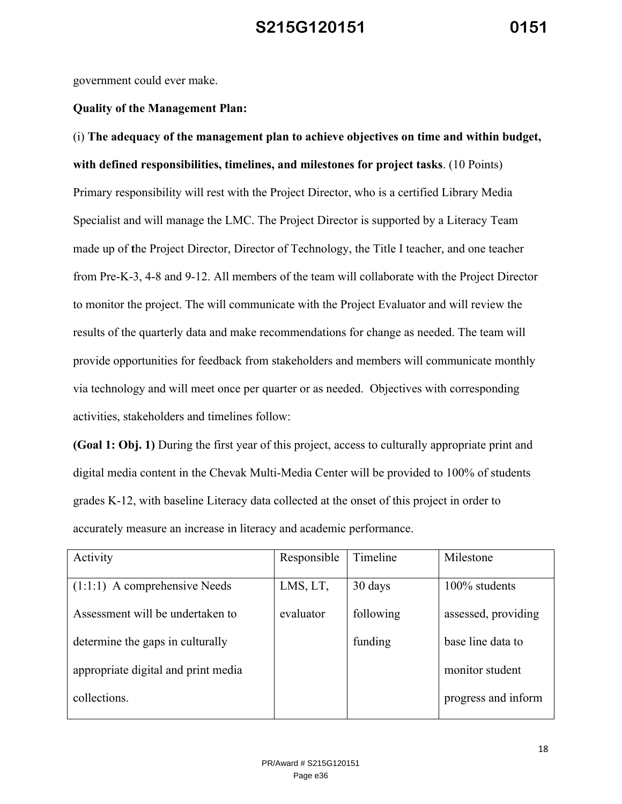government could ever make.

#### **Quality of the Management Plan:**

(i) **The adequacy of the management plan to achieve objectives on time and within budget, with defined responsibilities, timelines, and milestones for project tasks**. (10 Points) Primary responsibility will rest with the Project Director, who is a certified Library Media Specialist and will manage the LMC. The Project Director is supported by a Literacy Team made up of **t**he Project Director, Director of Technology, the Title I teacher, and one teacher from Pre-K-3, 4-8 and 9-12. All members of the team will collaborate with the Project Director to monitor the project. The will communicate with the Project Evaluator and will review the results of the quarterly data and make recommendations for change as needed. The team will provide opportunities for feedback from stakeholders and members will communicate monthly via technology and will meet once per quarter or as needed. Objectives with corresponding activities, stakeholders and timelines follow:

**(Goal 1: Obj. 1)** During the first year of this project, access to culturally appropriate print and digital media content in the Chevak Multi-Media Center will be provided to 100% of students grades K-12, with baseline Literacy data collected at the onset of this project in order to accurately measure an increase in literacy and academic performance.

| Activity                            | Responsible | Timeline  | Milestone           |
|-------------------------------------|-------------|-----------|---------------------|
|                                     |             |           |                     |
| $(1:1:1)$ A comprehensive Needs     | LMS, LT,    | 30 days   | 100% students       |
|                                     |             |           |                     |
| Assessment will be undertaken to    | evaluator   | following | assessed, providing |
|                                     |             |           |                     |
| determine the gaps in culturally    |             | funding   | base line data to   |
|                                     |             |           |                     |
| appropriate digital and print media |             |           | monitor student     |
|                                     |             |           |                     |
| collections.                        |             |           | progress and inform |
|                                     |             |           |                     |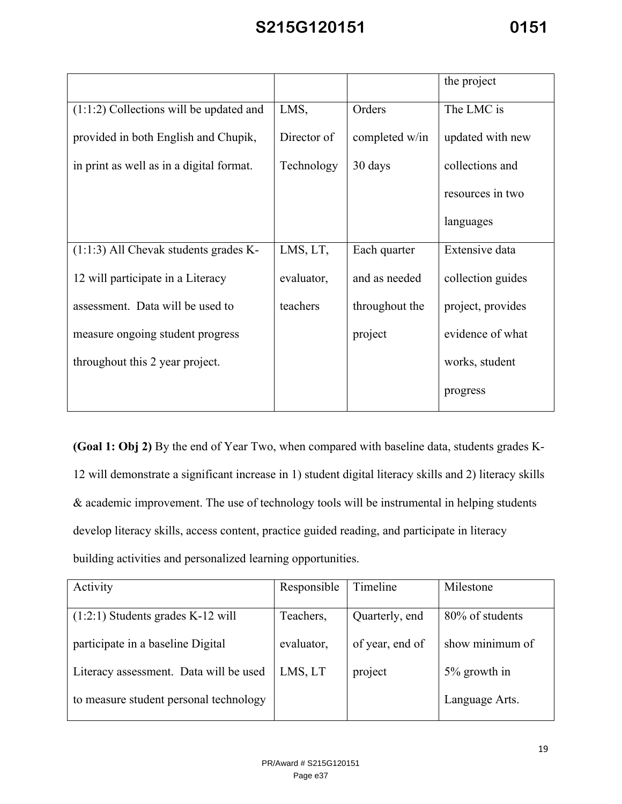|                                           |             |                | the project       |
|-------------------------------------------|-------------|----------------|-------------------|
| $(1:1:2)$ Collections will be updated and | LMS,        | Orders         | The LMC is        |
| provided in both English and Chupik,      | Director of | completed w/in | updated with new  |
| in print as well as in a digital format.  | Technology  | 30 days        | collections and   |
|                                           |             |                | resources in two  |
|                                           |             |                | languages         |
| $(1:1:3)$ All Chevak students grades K-   | LMS, LT,    | Each quarter   | Extensive data    |
| 12 will participate in a Literacy         | evaluator,  | and as needed  | collection guides |
| assessment. Data will be used to          | teachers    | throughout the | project, provides |
| measure ongoing student progress          |             | project        | evidence of what  |
| throughout this 2 year project.           |             |                | works, student    |
|                                           |             |                | progress          |

**(Goal 1: Obj 2)** By the end of Year Two, when compared with baseline data, students grades K-12 will demonstrate a significant increase in 1) student digital literacy skills and 2) literacy skills & academic improvement. The use of technology tools will be instrumental in helping students develop literacy skills, access content, practice guided reading, and participate in literacy building activities and personalized learning opportunities.

| Activity                               | Responsible | Timeline        | Milestone       |
|----------------------------------------|-------------|-----------------|-----------------|
|                                        |             |                 |                 |
| $(1:2:1)$ Students grades K-12 will    | Teachers,   | Quarterly, end  | 80% of students |
| participate in a baseline Digital      | evaluator,  | of year, end of | show minimum of |
| Literacy assessment. Data will be used | LMS, LT     | project         | 5% growth in    |
| to measure student personal technology |             |                 | Language Arts.  |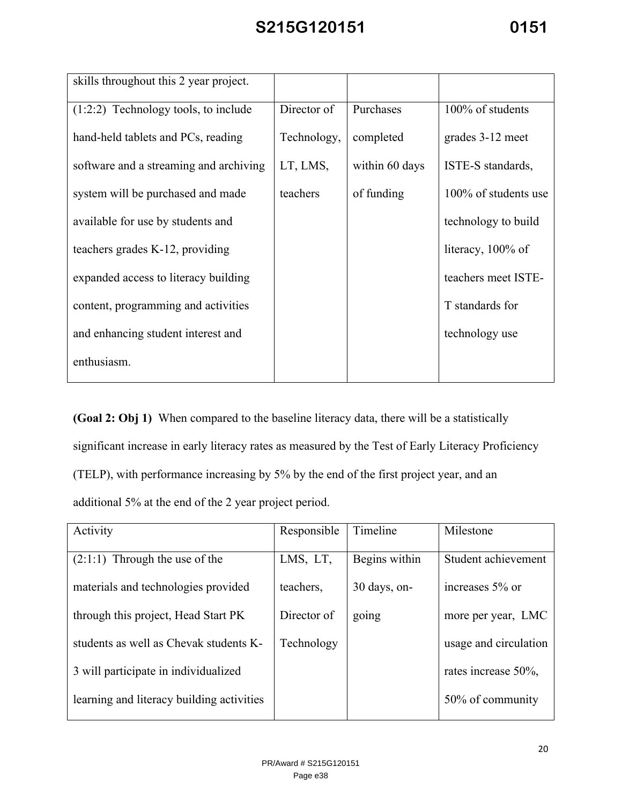| skills throughout this 2 year project. |                            |            |                      |
|----------------------------------------|----------------------------|------------|----------------------|
| $(1:2:2)$ Technology tools, to include | Director of                | Purchases  | 100% of students     |
| hand-held tablets and PCs, reading     | Technology,                | completed  | grades 3-12 meet     |
| software and a streaming and archiving | LT, LMS,<br>within 60 days |            | ISTE-S standards,    |
| system will be purchased and made      | teachers                   | of funding | 100% of students use |
| available for use by students and      |                            |            | technology to build  |
| teachers grades K-12, providing        |                            |            | literacy, $100\%$ of |
| expanded access to literacy building   |                            |            | teachers meet ISTE-  |
| content, programming and activities    |                            |            | T standards for      |
| and enhancing student interest and     |                            |            | technology use       |
| enthusiasm.                            |                            |            |                      |

**(Goal 2: Obj 1)** When compared to the baseline literacy data, there will be a statistically significant increase in early literacy rates as measured by the Test of Early Literacy Proficiency (TELP), with performance increasing by 5% by the end of the first project year, and an additional 5% at the end of the 2 year project period.

| Activity                                  | Responsible | Timeline      | Milestone             |
|-------------------------------------------|-------------|---------------|-----------------------|
| $(2:1:1)$ Through the use of the          | LMS, LT,    | Begins within | Student achievement   |
| materials and technologies provided       | teachers.   | 30 days, on-  | increases 5% or       |
| through this project, Head Start PK       | Director of | going         | more per year, LMC    |
| students as well as Chevak students K-    | Technology  |               | usage and circulation |
| 3 will participate in individualized      |             |               | rates increase 50%,   |
| learning and literacy building activities |             |               | 50% of community      |
|                                           |             |               |                       |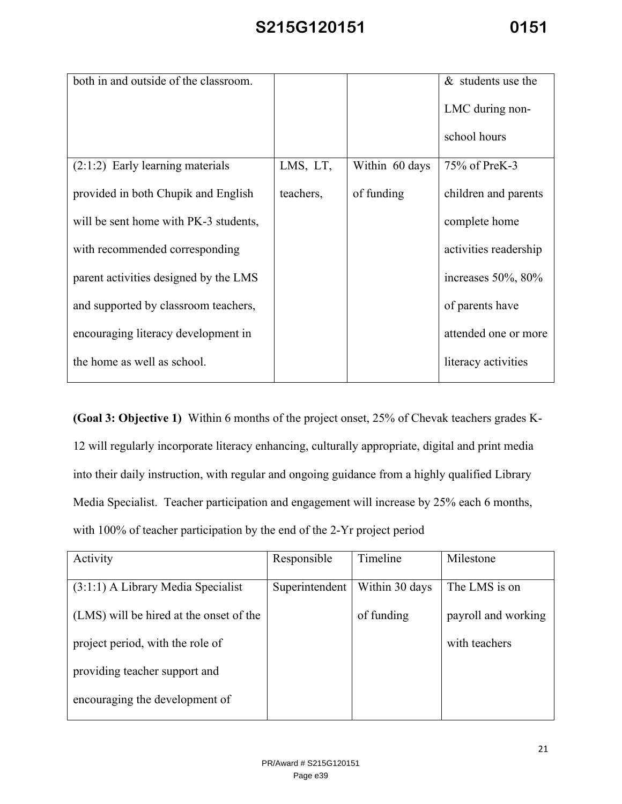| both in and outside of the classroom. |           |                | $&$ students use the      |
|---------------------------------------|-----------|----------------|---------------------------|
|                                       |           |                | LMC during non-           |
|                                       |           |                | school hours              |
| $(2:1:2)$ Early learning materials    | LMS, LT,  | Within 60 days | 75% of PreK-3             |
| provided in both Chupik and English   | teachers, | of funding     | children and parents      |
| will be sent home with PK-3 students, |           |                | complete home             |
| with recommended corresponding        |           |                | activities readership     |
| parent activities designed by the LMS |           |                | increases $50\%$ , $80\%$ |
| and supported by classroom teachers,  |           |                | of parents have           |
| encouraging literacy development in   |           |                | attended one or more      |
| the home as well as school.           |           |                | literacy activities       |

**(Goal 3: Objective 1)** Within 6 months of the project onset, 25% of Chevak teachers grades K-12 will regularly incorporate literacy enhancing, culturally appropriate, digital and print media into their daily instruction, with regular and ongoing guidance from a highly qualified Library Media Specialist. Teacher participation and engagement will increase by 25% each 6 months, with 100% of teacher participation by the end of the 2-Yr project period

| Activity                                | Responsible    | Timeline       | Milestone           |
|-----------------------------------------|----------------|----------------|---------------------|
|                                         |                |                |                     |
| $(3:1:1)$ A Library Media Specialist    | Superintendent | Within 30 days | The LMS is on       |
| (LMS) will be hired at the onset of the |                | of funding     | payroll and working |
| project period, with the role of        |                |                | with teachers       |
| providing teacher support and           |                |                |                     |
| encouraging the development of          |                |                |                     |
|                                         |                |                |                     |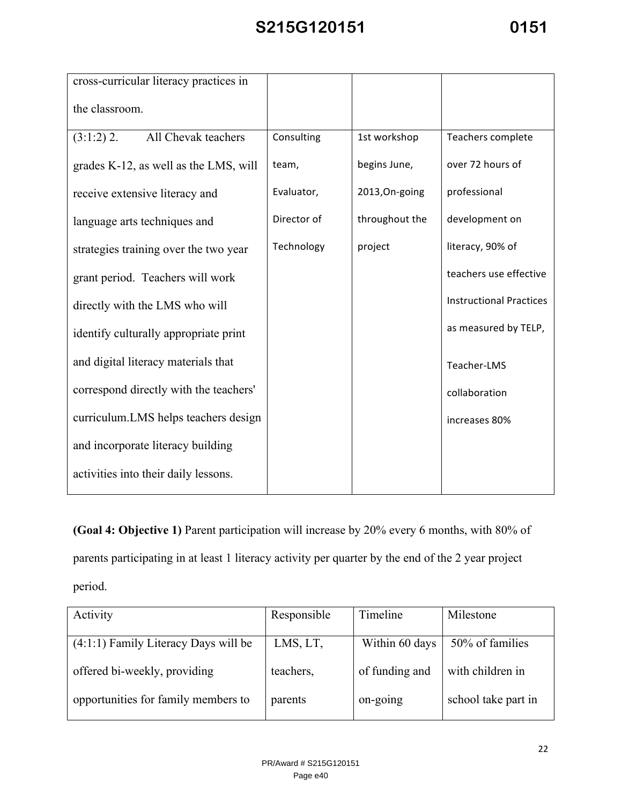| cross-curricular literacy practices in |             |                |                                |
|----------------------------------------|-------------|----------------|--------------------------------|
| the classroom.                         |             |                |                                |
| All Chevak teachers<br>$(3:1:2)$ 2.    | Consulting  | 1st workshop   | Teachers complete              |
| grades K-12, as well as the LMS, will  | team,       | begins June,   | over 72 hours of               |
| receive extensive literacy and         | Evaluator,  | 2013, On-going | professional                   |
| language arts techniques and           | Director of | throughout the | development on                 |
| strategies training over the two year  | Technology  | project        | literacy, 90% of               |
| grant period. Teachers will work       |             |                | teachers use effective         |
| directly with the LMS who will         |             |                | <b>Instructional Practices</b> |
| identify culturally appropriate print  |             |                | as measured by TELP,           |
| and digital literacy materials that    |             |                | Teacher-LMS                    |
| correspond directly with the teachers' |             |                | collaboration                  |
| curriculum.LMS helps teachers design   |             |                | increases 80%                  |
| and incorporate literacy building      |             |                |                                |
| activities into their daily lessons.   |             |                |                                |

**(Goal 4: Objective 1)** Parent participation will increase by 20% every 6 months, with 80% of parents participating in at least 1 literacy activity per quarter by the end of the 2 year project period.

| Activity                               | Responsible | Timeline       | Milestone           |
|----------------------------------------|-------------|----------------|---------------------|
| $(4:1:1)$ Family Literacy Days will be | LMS, LT,    | Within 60 days | 50% of families     |
| offered bi-weekly, providing           | teachers,   | of funding and | with children in    |
| opportunities for family members to    | parents     | on-going       | school take part in |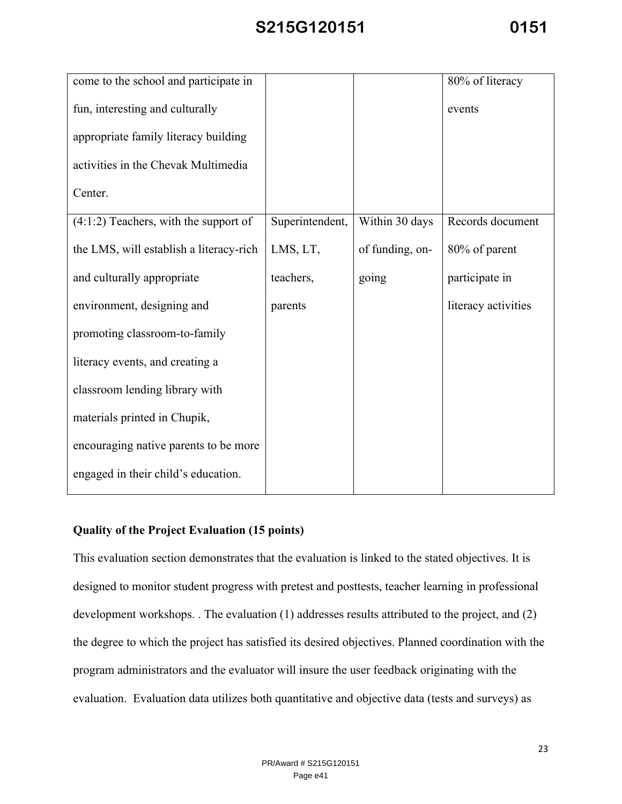| come to the school and participate in   |                 |                 | 80% of literacy     |
|-----------------------------------------|-----------------|-----------------|---------------------|
| fun, interesting and culturally         |                 |                 | events              |
| appropriate family literacy building    |                 |                 |                     |
| activities in the Chevak Multimedia     |                 |                 |                     |
| Center.                                 |                 |                 |                     |
| $(4:1:2)$ Teachers, with the support of | Superintendent, | Within 30 days  | Records document    |
| the LMS, will establish a literacy-rich | LMS, LT,        | of funding, on- | 80% of parent       |
| and culturally appropriate              | teachers,       | going           | participate in      |
| environment, designing and              | parents         |                 | literacy activities |
| promoting classroom-to-family           |                 |                 |                     |
| literacy events, and creating a         |                 |                 |                     |
| classroom lending library with          |                 |                 |                     |
| materials printed in Chupik,            |                 |                 |                     |
| encouraging native parents to be more   |                 |                 |                     |
| engaged in their child's education.     |                 |                 |                     |

#### **Quality of the Project Evaluation (15 points)**

This evaluation section demonstrates that the evaluation is linked to the stated objectives. It is designed to monitor student progress with pretest and posttests, teacher learning in professional development workshops. . The evaluation (1) addresses results attributed to the project, and (2) the degree to which the project has satisfied its desired objectives. Planned coordination with the program administrators and the evaluator will insure the user feedback originating with the evaluation. Evaluation data utilizes both quantitative and objective data (tests and surveys) as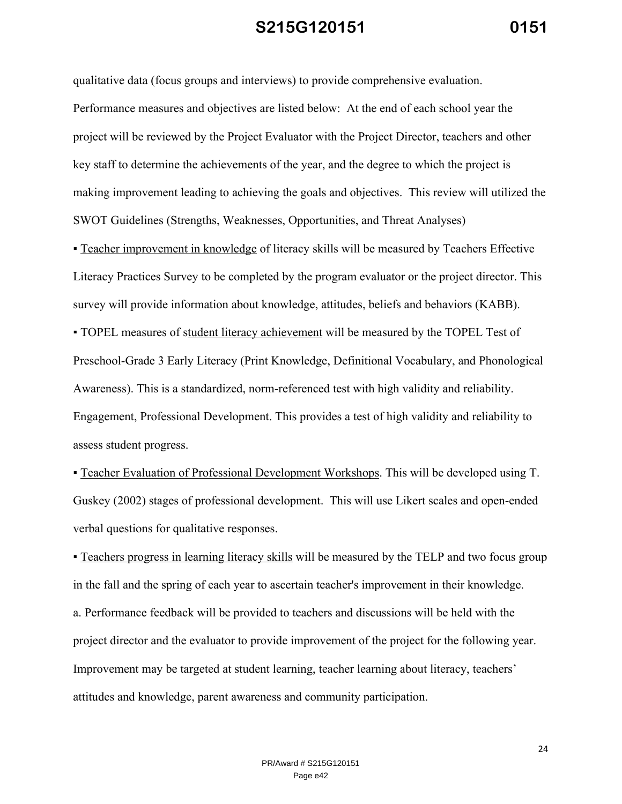qualitative data (focus groups and interviews) to provide comprehensive evaluation. Performance measures and objectives are listed below: At the end of each school year the project will be reviewed by the Project Evaluator with the Project Director, teachers and other key staff to determine the achievements of the year, and the degree to which the project is making improvement leading to achieving the goals and objectives. This review will utilized the SWOT Guidelines (Strengths, Weaknesses, Opportunities, and Threat Analyses)

▪ Teacher improvement in knowledge of literacy skills will be measured by Teachers Effective Literacy Practices Survey to be completed by the program evaluator or the project director. This survey will provide information about knowledge, attitudes, beliefs and behaviors (KABB).

▪ TOPEL measures of student literacy achievement will be measured by the TOPEL Test of Preschool-Grade 3 Early Literacy (Print Knowledge, Definitional Vocabulary, and Phonological Awareness). This is a standardized, norm-referenced test with high validity and reliability. Engagement, Professional Development. This provides a test of high validity and reliability to assess student progress.

▪ Teacher Evaluation of Professional Development Workshops. This will be developed using T. Guskey (2002) stages of professional development. This will use Likert scales and open-ended verbal questions for qualitative responses.

▪ Teachers progress in learning literacy skills will be measured by the TELP and two focus group in the fall and the spring of each year to ascertain teacher's improvement in their knowledge. a. Performance feedback will be provided to teachers and discussions will be held with the project director and the evaluator to provide improvement of the project for the following year. Improvement may be targeted at student learning, teacher learning about literacy, teachers' attitudes and knowledge, parent awareness and community participation.